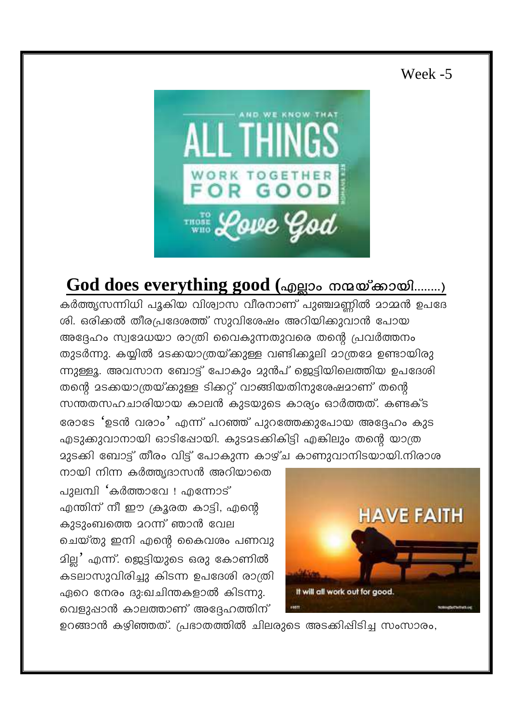## Week -5



## God does everything good (എല്ലാം നന്മയ്ക്കായി........)

കർത്തൃസന്നിധി പൂകിയ വിശ്വാസ വീരനാണ് പുഞ്ചാണ്ണിൽ മാമ്മൻ ഉപദേ ശി. ഒരിക്കൽ തീരപ്രദേശത്ത് സുവിശേഷം അറിയിക്കുവാൻ പോയ അദ്ദേഹം സ്വദേധയാ രാത്രി വൈകുന്നതുവരെ തന്റെ പ്രവർത്തനം തുടർന്നു. കയ്യിൽ മടക്കയാത്രയ്ക്കുള്ള വണ്ടിക്കൂലി മാത്രമേ ഉണ്ടായിരു ന്നുള്ളൂ. അവസാന ബോട്ട് പോകും മുൻപ് ജെട്ടിയിലെത്തിയ ഉപദേശി തന്റെ മടക്കയാത്രയ്ക്കുള്ള ടിക്കറ്റ് വാങ്ങിയതിനുശേഷമാണ് തന്റെ സന്തതസഹചാരിയായ കാലൻ കുടയുടെ കാര്യം ഓർത്തത്. കണ്ടക്ട രോടേ 'ഉടൻ വരാം' എന്ന് പറഞ്ഞ് പുറത്തേക്കുപോയ അദ്ദേഹം കുട എടുക്കുവാനായി ഓടിഷോയി. കുടമടക്കികിട്ടി എങ്കിലും തന്റെ യാത്ര മുടക്കി ബോട്ട് തീരം വിട്ട് പോകുന്ന കാഴ്ച കാണുവാനിടയായി.നിരാശ

നായി നിന്ന കർത്ത്യദാസൻ അറിയാതെ പുലമ്പി 'കർത്താവേ ! എന്നോട് എന്തിന് നീ ഈ ക്രൂരത കാട്ടി, എന്റെ കുടുംബത്തെ മറന്ന് ഞാൻ വേല ചെയ്തു ഇനി എന്റെ കൈവശം പണവു <u>മില്ല</u>' എന്ന്. ജെട്ടിയുടെ ഒരു കോണിൽ കടലാസുവിരിച്ചു കിടന്ന ഉപദേശി രാത്രി ഏറെ നേരം ദു:ഖചിന്തകളാൽ കിടന്നു. വെളുപ്പാൻ കാലത്താണ് അദ്ദേഹത്തിന്



ഉറങ്ങാൻ കഴിഞ്ഞത്. പ്രഭാതത്തിൽ ചിലരുടെ അടക്കിഷിടിച്ച സംസാരം,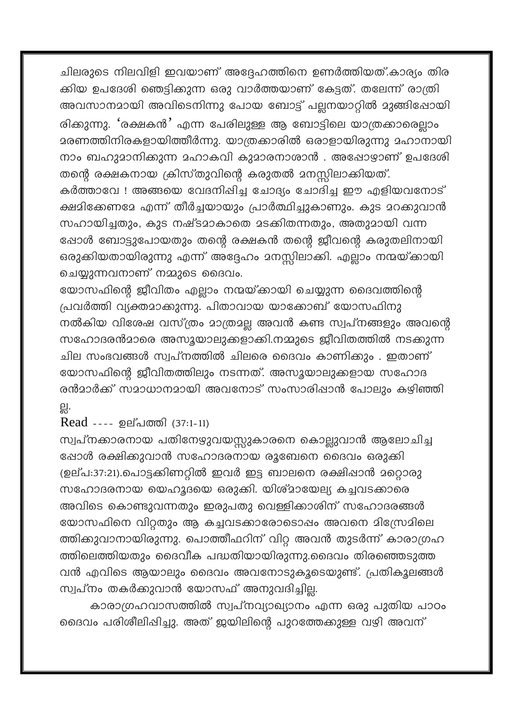ചിലരുടെ നിലവിളി ഇവയാണ് അദ്ദേഹത്തിനെ ഉണർത്തിയത്.കാര്യം തിര ക്കിയ ഉപദേശി ഞെട്ടിക്കുന്ന ഒരു വാർത്തയാണ് കേട്ടത്. തലേന്ന് രാത്രി അവസാനമായി അവിടെനിന്നു പോയ ബോട്ട് പല്ലനയാറ്റിൽ മുങ്ങിഷോയി രിക്കുന്നു. 'രക്ഷകൻ' എന്ന പേരിലുള്ള ആ ബോട്ടിലെ യാത്രക്കാരെല്ലാം <u> ദരണത്തിനിരകളായിത്തീർന്നു. യാത്രക്കാരിൽ ഒരാളായിരുന്നു ദഹാനായി</u> നാം ബഹുമാനിക്കുന്ന മഹാകവി കുമാരനാശാൻ . അഷോഴാണ് ഉപദേശി തന്റെ രക്ഷകനായ ക്രിസ്തുവിന്റെ കരുതൽ മനസ്സിലാക്കിയത്. കർത്താവേ ! അങ്ങയെ വേദനിപ്പിച്ച ചോദ്യം ചോദിച്ച ഈ എളിയവനോട് ക്ഷമിക്കേണമേ എന്ന് തീർച്ചയായും പ്രാർത്ഥിച്ചുകാണും. കുട മറക്കുവാൻ സഹായിച്ചതും, കുട നഷ്ടമാകാതെ മടക്കിതന്നതും, അതുമായി വന്ന ഷോൾ ബോട്ടുപോയതും തന്റെ രക്ഷകൻ തന്റെ ജീവന്റെ കരുതലിനായി ഒരുക്കിയതായിരുന്നു എന്ന് അദ്ദേഹം മനസ്സിലാക്കി. എല്ലാം നന്മയ്ക്കായി ചെയ്യുന്നവനാണ് നമ്മുടെ ദൈവം.

യോസഫിന്റെ ജീവിതം എല്ലാം നന്മയ്ക്കായി ചെയ്യുന്ന ദൈവത്തിന്റെ പ്രവർത്തി വ്യക്തമാക്കുന്നു. പിതാവായ യാക്കോബ് യോസഫിനു നൽകിയ വിശേഷ വസ്ത്രം മാത്രമല്ല അവൻ കണ്ട സ്വപ്നങ്ങളും അവന്റെ സഹോദരൻമാരെ അസൂയാലുക്കളാക്കി.നമ്മുടെ ജീവിതത്തിൽ നടക്കുന്ന ചില സംഭവങ്ങൾ സ്വപ്നത്തിൽ ചിലരെ ദൈവം കാണിക്കും . ഇതാണ് യോസഫിന്റെ ജീവിതത്തിലും നടന്നത്. അസൂയാലുക്കളായ സഹോദ രൻമാർക്ക് സമാധാനമായി അവനോട് സംസാരിഷാൻ പോലും കഴിഞ്ഞി 읪.

Read ---- ഉല്പത്തി (37:1-11)

സ്വപ്നക്കാരനായ പതിനേഴുവയസ്സുകാരനെ കൊല്ലുവാൻ ആലോചിച്ച ഷോൾ രക്ഷിക്കുവാൻ സഹോദരനായ രൂബേനെ ദൈവം ഒരുക്കി (ഉല്പ:37:21).പൊട്ടക്കിണറ്റിൽ ഇവർ ഇട്ട ബാലനെ രക്ഷിഷാൻ മറ്റൊരു സഹോദരനായ യെഹൂദയെ ഒരുക്കി. യിശ്മായേല്യ കച്ചവടക്കാരെ അവിടെ കൊണ്ടുവന്നതും ഇരുപതു വെള്ളിക്കാശിന് സഹോദരങ്ങൾ യോസഫിനെ വിറ്റതും ആ കച്ചവടക്കാരോടൊപ്പം അവനെ മിസ്രേമിലെ ത്തിക്കുവാനായിരുന്നു. പൊത്തീഫറിന് വിറ്റ അവൻ തുടർന്ന് കാരാഗ്രഹ ത്തിലെത്തിയതും ദൈവീക പദ്ധതിയായിരുന്നു.ദൈവം തിരഞ്ഞെടുത്ത വൻ എവിടെ ആയാലും ദൈവം അവനോടുകൂടെയുണ്ട്. പ്രതികൂലങ്ങൾ സ്വപ്നം തകർക്കുവാൻ യോസഫ് അനുവദിച്ചില്ല.

കാരാഗ്രഹവാസത്തിൽ സ്വപ്നവ്യാഖ്യാനം എന്ന ഒരു പുതിയ പാഠം ദൈവം പരിശീലിഷിച്ചു. അത് ജയിലിന്റെ പുറത്തേക്കുള്ള വഴി അവന്